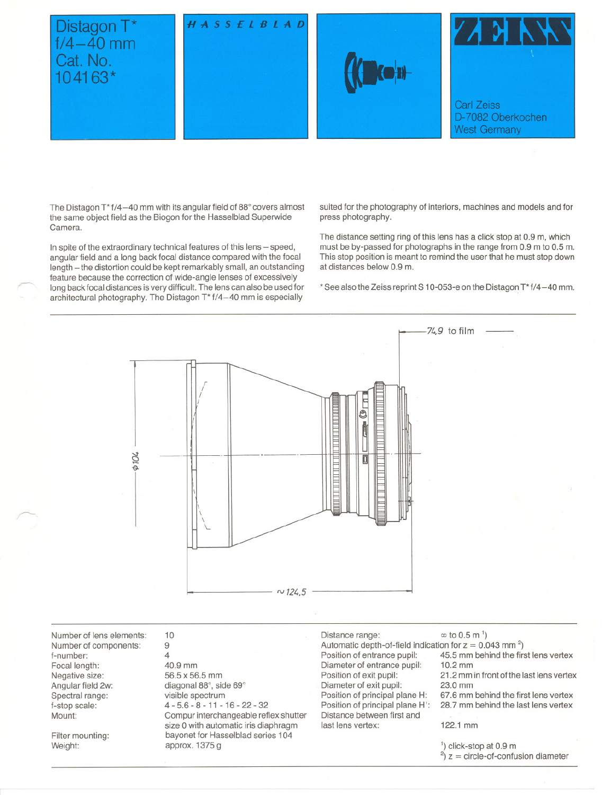# Distagon T\*<br>f/4-40 mm Cat. No. 104163\*

### $A$  S S  $E$  L  $B$  L  $A$  D







The Distagon T<sup>\*</sup> f/4-40 mm with its angular field of 88° covers almost the same object field as the Biogon for the Hasselblad Superwide Camera.

In spite of the extraordinary technical features of this lens - speed, angular field and a long back focal distance compared with the focal length - the distortion could be kept remarkably small, an outstanding feature because the correction of wide-angle lenses of excessively long back focal distances is very difficult. The lens can also be used for architectural photography. The Distagon T\* f/4-40 mm is especially

suited for the photography of interiors, machines and models and for press photography.

The distance setting ring of this lens has a click stop at 0.9 m, which must be by-passed for photographs in the range from 0.9 m to 0.5 m. This stop position is meant to remind the user that he must stop down at distances below 0.9 m.

\* See also the Zeiss reprint S 10-053-e on the Distagon T\* f/4-40 mm.



Number of lens elements: Number of components: f-number: Focal length: Negative size: Angular field 2w: Spectral range: f-stop scale: Mount:

Filter mounting: Weight:

r---

10 9 4 40.9 mm 56.5 x 56.5 mm diagonal 88°, side 69° visible spectrum 4 - 5.6 - 8 - 11- 16- 22 - 32 Compur interchangeable reflex shutter size 0 with automatic iris diaphragm bayonet for Hasselblad series 104 approx. 1375 g

Distance range:  $\infty$  to 0.5 m<sup>1</sup>) Automatic depth-of-field indication for  $z = 0.043$  mm<sup>2</sup>)<br>Position of entrance pupil: 45.5 mm behind the firs Diameter of entrance pupil:<br>Position of exit pupil: Diameter of exit pupil:<br>Position of principal plane H: Distance between first and last lens vertex: 122.1 mm

45.5 mm behind the first lens vertex 10.2 mm

21.2 mm in front of the last lens vertex<br>23.0 mm

Position of principal plane H: 67.6 mm behind the first lens vertex<br>Position of principal plane H': 28.7 mm behind the last lens vertex 28.7 mm behind the last lens vertex

1) click-stop at 0.9 m  $^{2}$ ) z = circle-of-confusion diameter